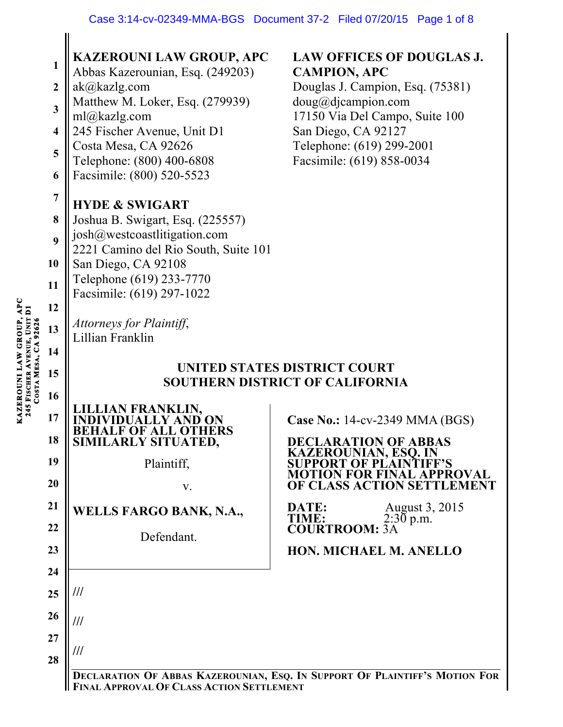| $\mathbf{1}$<br>$\boldsymbol{2}$<br>$\mathbf{3}$<br>$\overline{\mathbf{4}}$<br>5<br>6<br>$\overline{7}$<br>8<br>9<br>10<br>11<br>12<br>13<br>14<br>15 | Abbas Kazerounian, Esq. (249203)<br>ak@kazlg.com<br>Matthew M. Loker, Esq. (279939)<br>ml@kazlg.com<br>245 Fischer Avenue, Unit D1<br>Costa Mesa, CA 92626<br>Telephone: (800) 400-6808<br>Facsimile: (800) 520-5523<br><b>HYDE &amp; SWIGART</b><br>Joshua B. Swigart, Esq. (225557)<br>josh@westcoastlitigation.com<br>2221 Camino del Rio South, Suite 101<br>San Diego, CA 92108<br>Telephone (619) 233-7770<br>Facsimile: (619) 297-1022<br>Attorneys for Plaintiff,<br>Lillian Franklin | <b>CAMPION, APC</b><br>Douglas J. Campion, Esq. (75381)<br>$doug@di$ campion.com<br>17150 Via Del Campo, Suite 100<br>San Diego, CA 92127<br>Telephone: (619) 299-2001<br>Facsimile: (619) 858-0034<br>UNITED STATES DISTRICT COURT<br><b>SOUTHERN DISTRICT OF CALIFORNIA</b> |
|-------------------------------------------------------------------------------------------------------------------------------------------------------|-----------------------------------------------------------------------------------------------------------------------------------------------------------------------------------------------------------------------------------------------------------------------------------------------------------------------------------------------------------------------------------------------------------------------------------------------------------------------------------------------|-------------------------------------------------------------------------------------------------------------------------------------------------------------------------------------------------------------------------------------------------------------------------------|
| 16<br>17<br>18<br>19<br>20<br>21<br>22<br>23<br>24<br>25<br>26<br>27<br>28                                                                            | <b>FRANKLIN,</b><br>ARLY SITUATED,<br>Plaintiff,<br>V.<br>WELLS FARGO BANK, N.A.,<br>Defendant.<br>///<br>///<br>///                                                                                                                                                                                                                                                                                                                                                                          | <b>Case No.: 14-cv-2349 MMA (BGS)</b><br><b>DECLARATION OF ABBAS</b><br><b>KAZEROUNIAN, ESQ. IN</b><br>PROVAL<br><b>OF CLASS ACTION SET</b><br>August 3, 2015<br>DATE:<br>$2:30$ p.m.<br>TIME:<br><b>COURTROOM: 3A</b><br>HON. MICHAEL M. ANELLO                              |

**FINAL APPROVAL OF CLASS ACTION SETTLEMENT**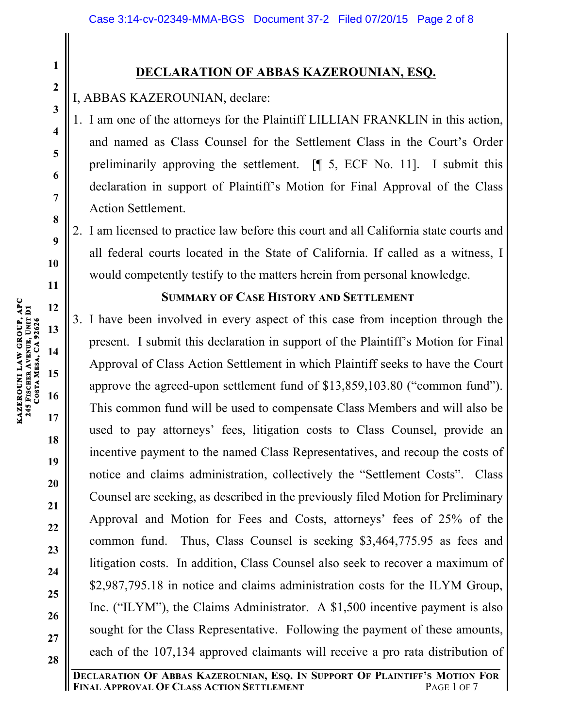# **DECLARATION OF ABBAS KAZEROUNIAN, ESQ.**

I, ABBAS KAZEROUNIAN, declare:

- 1. I am one of the attorneys for the Plaintiff LILLIAN FRANKLIN in this action, and named as Class Counsel for the Settlement Class in the Court's Order preliminarily approving the settlement. [¶ 5, ECF No. 11]. I submit this declaration in support of Plaintiff's Motion for Final Approval of the Class Action Settlement.
- 2. I am licensed to practice law before this court and all California state courts and all federal courts located in the State of California. If called as a witness, I would competently testify to the matters herein from personal knowledge.

## **SUMMARY OF CASE HISTORY AND SETTLEMENT**

3. I have been involved in every aspect of this case from inception through the present. I submit this declaration in support of the Plaintiff's Motion for Final Approval of Class Action Settlement in which Plaintiff seeks to have the Court approve the agreed-upon settlement fund of \$13,859,103.80 ("common fund"). This common fund will be used to compensate Class Members and will also be used to pay attorneys' fees, litigation costs to Class Counsel, provide an incentive payment to the named Class Representatives, and recoup the costs of notice and claims administration, collectively the "Settlement Costs". Class Counsel are seeking, as described in the previously filed Motion for Preliminary Approval and Motion for Fees and Costs, attorneys' fees of 25% of the common fund. Thus, Class Counsel is seeking \$3,464,775.95 as fees and litigation costs. In addition, Class Counsel also seek to recover a maximum of \$2,987,795.18 in notice and claims administration costs for the ILYM Group, Inc. ("ILYM"), the Claims Administrator. A \$1,500 incentive payment is also sought for the Class Representative. Following the payment of these amounts, each of the 107,134 approved claimants will receive a pro rata distribution of

**1**

**2**

**3**

**4**

**5**

**6**

**7**

**8**

**9**

**10**

**11**

**12**

**13**

**14**

**15**

**16**

**17**

**18**

**19**

**20**

**21**

**22**

**23**

**24**

**25**

**26**

**27**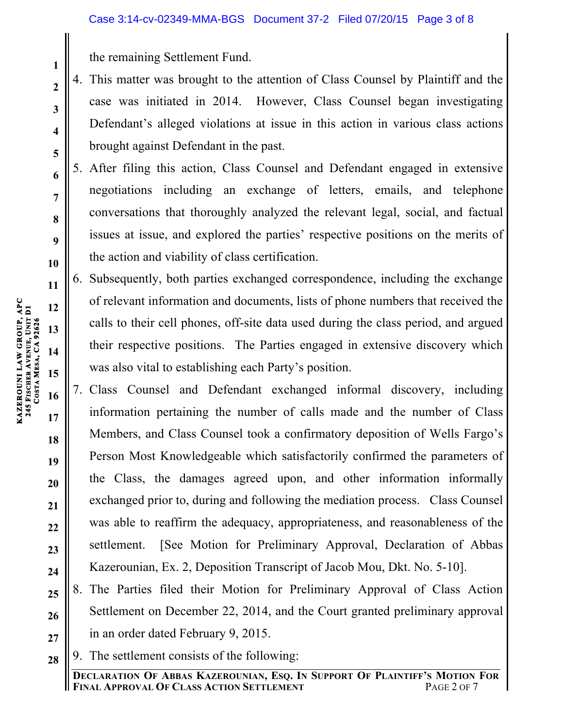the remaining Settlement Fund.

- 4. This matter was brought to the attention of Class Counsel by Plaintiff and the case was initiated in 2014. However, Class Counsel began investigating Defendant's alleged violations at issue in this action in various class actions brought against Defendant in the past.
- 5. After filing this action, Class Counsel and Defendant engaged in extensive negotiations including an exchange of letters, emails, and telephone conversations that thoroughly analyzed the relevant legal, social, and factual issues at issue, and explored the parties' respective positions on the merits of the action and viability of class certification.
- 6. Subsequently, both parties exchanged correspondence, including the exchange of relevant information and documents, lists of phone numbers that received the calls to their cell phones, off-site data used during the class period, and argued their respective positions. The Parties engaged in extensive discovery which was also vital to establishing each Party's position.
- 7. Class Counsel and Defendant exchanged informal discovery, including information pertaining the number of calls made and the number of Class Members, and Class Counsel took a confirmatory deposition of Wells Fargo's Person Most Knowledgeable which satisfactorily confirmed the parameters of the Class, the damages agreed upon, and other information informally exchanged prior to, during and following the mediation process. Class Counsel was able to reaffirm the adequacy, appropriateness, and reasonableness of the settlement. [See Motion for Preliminary Approval, Declaration of Abbas Kazerounian, Ex. 2, Deposition Transcript of Jacob Mou, Dkt. No. 5-10].
- **25 26 27** 8. The Parties filed their Motion for Preliminary Approval of Class Action Settlement on December 22, 2014, and the Court granted preliminary approval in an order dated February 9, 2015.
- **28** 9. The settlement consists of the following:

**1**

**2**

**3**

**4**

**5**

**6**

**7**

**8**

**9**

**10**

**11**

**12**

**13**

**14**

**15**

**16**

**17**

**18**

**19**

**20**

**21**

**22**

**23**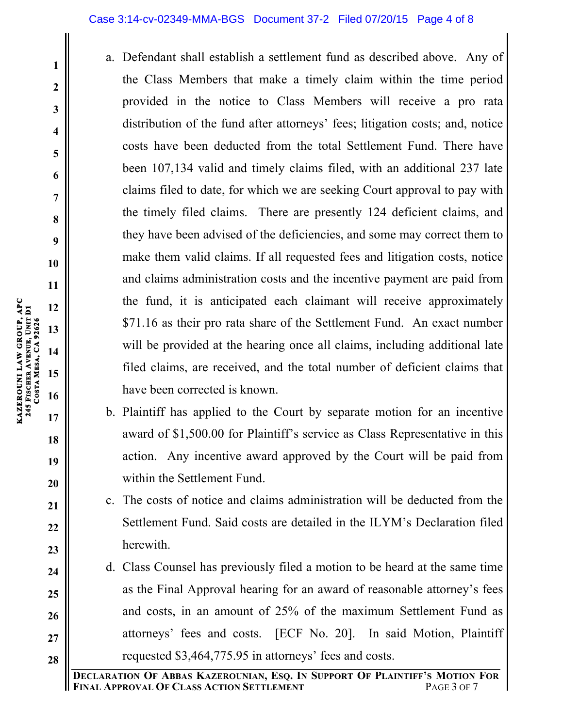### Case 3:14-cv-02349-MMA-BGS Document 37-2 Filed 07/20/15 Page 4 of 8

- a. Defendant shall establish a settlement fund as described above. Any of the Class Members that make a timely claim within the time period provided in the notice to Class Members will receive a pro rata distribution of the fund after attorneys' fees; litigation costs; and, notice costs have been deducted from the total Settlement Fund. There have been 107,134 valid and timely claims filed, with an additional 237 late claims filed to date, for which we are seeking Court approval to pay with the timely filed claims. There are presently 124 deficient claims, and they have been advised of the deficiencies, and some may correct them to make them valid claims. If all requested fees and litigation costs, notice and claims administration costs and the incentive payment are paid from the fund, it is anticipated each claimant will receive approximately \$71.16 as their pro rata share of the Settlement Fund. An exact number will be provided at the hearing once all claims, including additional late filed claims, are received, and the total number of deficient claims that have been corrected is known.
- b. Plaintiff has applied to the Court by separate motion for an incentive award of \$1,500.00 for Plaintiff's service as Class Representative in this action. Any incentive award approved by the Court will be paid from within the Settlement Fund.
- c. The costs of notice and claims administration will be deducted from the Settlement Fund. Said costs are detailed in the ILYM's Declaration filed herewith.
- d. Class Counsel has previously filed a motion to be heard at the same time as the Final Approval hearing for an award of reasonable attorney's fees and costs, in an amount of 25% of the maximum Settlement Fund as attorneys' fees and costs. [ECF No. 20]. In said Motion, Plaintiff requested \$3,464,775.95 in attorneys' fees and costs.

**KAZEROUNI LAW GROUP, APC** 

**245 FISCHER** 

**COSTA** 

**MESA, CA 92626** 

**AVENUE, UNIT D1**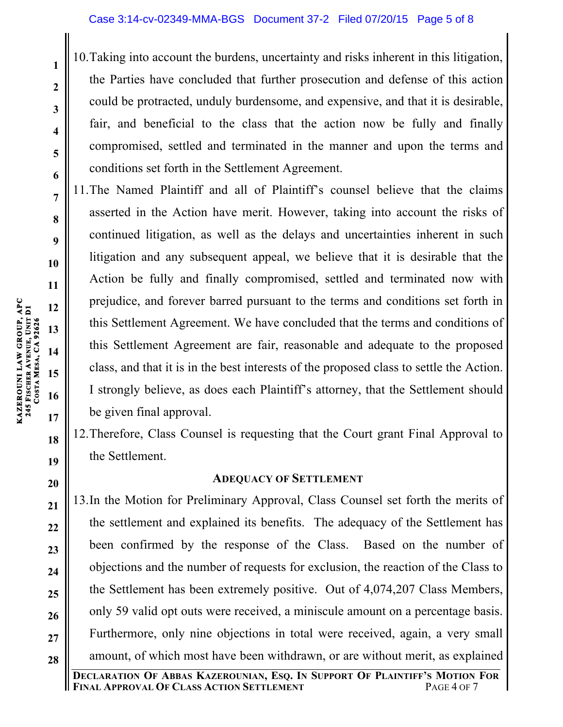10.Taking into account the burdens, uncertainty and risks inherent in this litigation, the Parties have concluded that further prosecution and defense of this action could be protracted, unduly burdensome, and expensive, and that it is desirable, fair, and beneficial to the class that the action now be fully and finally compromised, settled and terminated in the manner and upon the terms and conditions set forth in the Settlement Agreement.

11.The Named Plaintiff and all of Plaintiff's counsel believe that the claims asserted in the Action have merit. However, taking into account the risks of continued litigation, as well as the delays and uncertainties inherent in such litigation and any subsequent appeal, we believe that it is desirable that the Action be fully and finally compromised, settled and terminated now with prejudice, and forever barred pursuant to the terms and conditions set forth in this Settlement Agreement. We have concluded that the terms and conditions of this Settlement Agreement are fair, reasonable and adequate to the proposed class, and that it is in the best interests of the proposed class to settle the Action. I strongly believe, as does each Plaintiff's attorney, that the Settlement should be given final approval.

12.Therefore, Class Counsel is requesting that the Court grant Final Approval to the Settlement.

# **ADEQUACY OF SETTLEMENT**

13.In the Motion for Preliminary Approval, Class Counsel set forth the merits of the settlement and explained its benefits. The adequacy of the Settlement has been confirmed by the response of the Class. Based on the number of objections and the number of requests for exclusion, the reaction of the Class to the Settlement has been extremely positive. Out of 4,074,207 Class Members, only 59 valid opt outs were received, a miniscule amount on a percentage basis. Furthermore, only nine objections in total were received, again, a very small amount, of which most have been withdrawn, or are without merit, as explained

**1**

**2**

**3**

**4**

**5**

**6**

**7**

**8**

**9**

**10**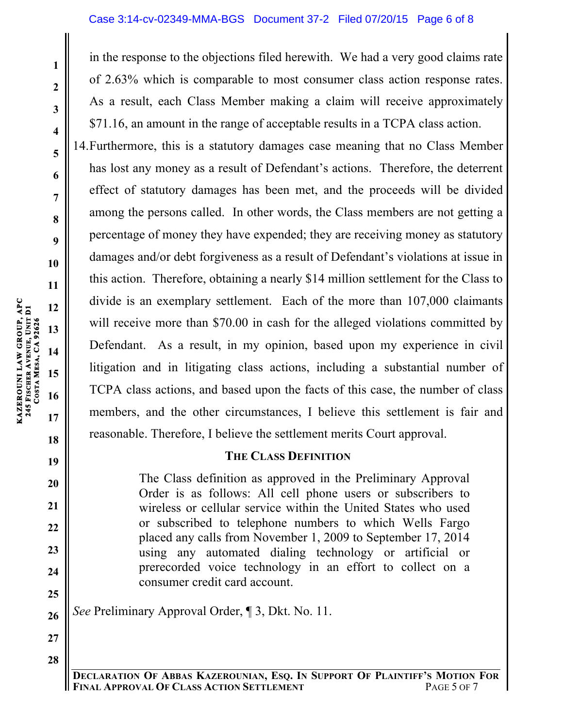### Case 3:14-cv-02349-MMA-BGS Document 37-2 Filed 07/20/15 Page 6 of 8

in the response to the objections filed herewith. We had a very good claims rate of 2.63% which is comparable to most consumer class action response rates. As a result, each Class Member making a claim will receive approximately \$71.16, an amount in the range of acceptable results in a TCPA class action.

14.Furthermore, this is a statutory damages case meaning that no Class Member has lost any money as a result of Defendant's actions. Therefore, the deterrent effect of statutory damages has been met, and the proceeds will be divided among the persons called. In other words, the Class members are not getting a percentage of money they have expended; they are receiving money as statutory damages and/or debt forgiveness as a result of Defendant's violations at issue in this action. Therefore, obtaining a nearly \$14 million settlement for the Class to divide is an exemplary settlement. Each of the more than 107,000 claimants will receive more than \$70.00 in cash for the alleged violations committed by Defendant. As a result, in my opinion, based upon my experience in civil litigation and in litigating class actions, including a substantial number of TCPA class actions, and based upon the facts of this case, the number of class members, and the other circumstances, I believe this settlement is fair and reasonable. Therefore, I believe the settlement merits Court approval.

### **THE CLASS DEFINITION**

The Class definition as approved in the Preliminary Approval Order is as follows: All cell phone users or subscribers to wireless or cellular service within the United States who used or subscribed to telephone numbers to which Wells Fargo placed any calls from November 1, 2009 to September 17, 2014 using any automated dialing technology or artificial or prerecorded voice technology in an effort to collect on a consumer credit card account.

*See* Preliminary Approval Order, ¶ 3, Dkt. No. 11.

**1**

**2**

**3**

**4**

**5**

**6**

**7**

**8**

**9**

**18**

**19**

**20**

**21**

**22**

**23**

**24**

**25**

**26**

**27**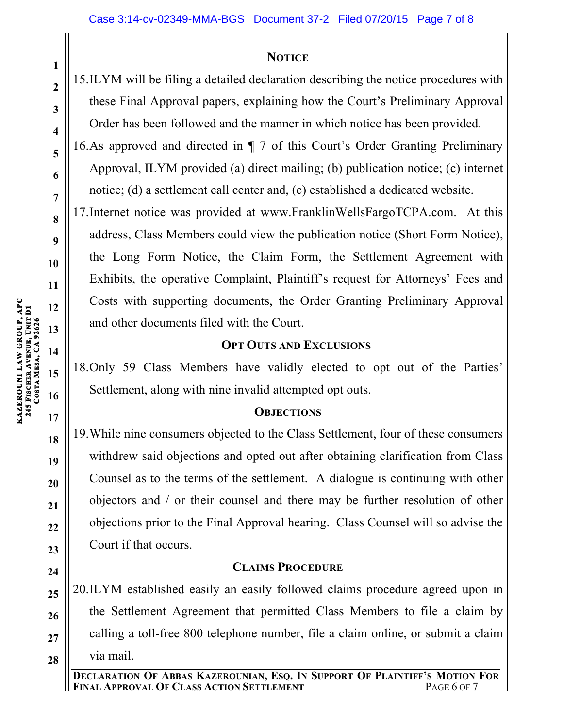## **NOTICE**

15.ILYM will be filing a detailed declaration describing the notice procedures with these Final Approval papers, explaining how the Court's Preliminary Approval Order has been followed and the manner in which notice has been provided.

16.As approved and directed in ¶ 7 of this Court's Order Granting Preliminary Approval, ILYM provided (a) direct mailing; (b) publication notice; (c) internet notice; (d) a settlement call center and, (c) established a dedicated website.

17.Internet notice was provided at www.FranklinWellsFargoTCPA.com. At this address, Class Members could view the publication notice (Short Form Notice), the Long Form Notice, the Claim Form, the Settlement Agreement with Exhibits, the operative Complaint, Plaintiff's request for Attorneys' Fees and Costs with supporting documents, the Order Granting Preliminary Approval and other documents filed with the Court.

## **OPT OUTS AND EXCLUSIONS**

18.Only 59 Class Members have validly elected to opt out of the Parties' Settlement, along with nine invalid attempted opt outs.

## **OBJECTIONS**

19.While nine consumers objected to the Class Settlement, four of these consumers withdrew said objections and opted out after obtaining clarification from Class Counsel as to the terms of the settlement. A dialogue is continuing with other objectors and / or their counsel and there may be further resolution of other objections prior to the Final Approval hearing. Class Counsel will so advise the Court if that occurs.

# **CLAIMS PROCEDURE**

**25 26 27 28** 20.ILYM established easily an easily followed claims procedure agreed upon in the Settlement Agreement that permitted Class Members to file a claim by calling a toll-free 800 telephone number, file a claim online, or submit a claim via mail.

**KAZEROUNI LAW GROUP, APC** 

**24**